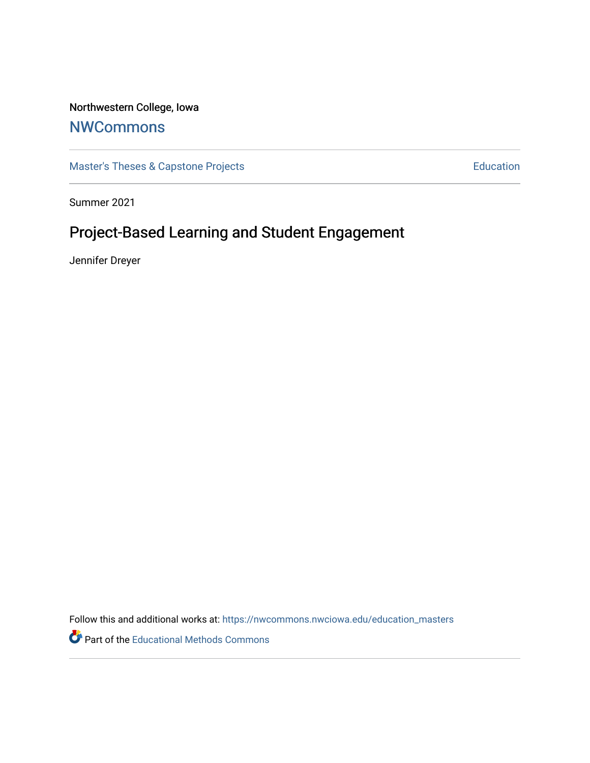## Northwestern College, Iowa

## **[NWCommons](https://nwcommons.nwciowa.edu/)**

[Master's Theses & Capstone Projects](https://nwcommons.nwciowa.edu/education_masters) **Education** Education

Summer 2021

# Project-Based Learning and Student Engagement

Jennifer Dreyer

Follow this and additional works at: [https://nwcommons.nwciowa.edu/education\\_masters](https://nwcommons.nwciowa.edu/education_masters?utm_source=nwcommons.nwciowa.edu%2Feducation_masters%2F330&utm_medium=PDF&utm_campaign=PDFCoverPages)

Part of the [Educational Methods Commons](http://network.bepress.com/hgg/discipline/1227?utm_source=nwcommons.nwciowa.edu%2Feducation_masters%2F330&utm_medium=PDF&utm_campaign=PDFCoverPages)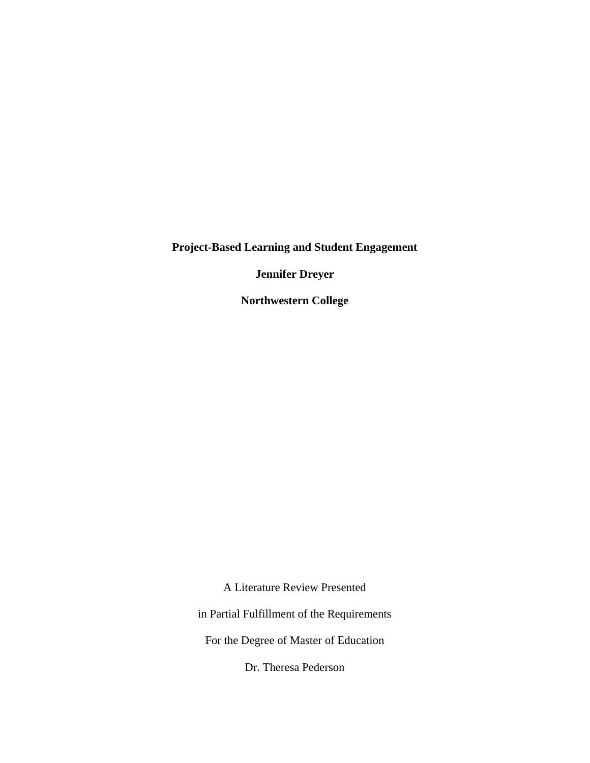**Project-Based Learning and Student Engagement**

**Jennifer Dreyer**

**Northwestern College**

A Literature Review Presented

in Partial Fulfillment of the Requirements

For the Degree of Master of Education

Dr. Theresa Pederson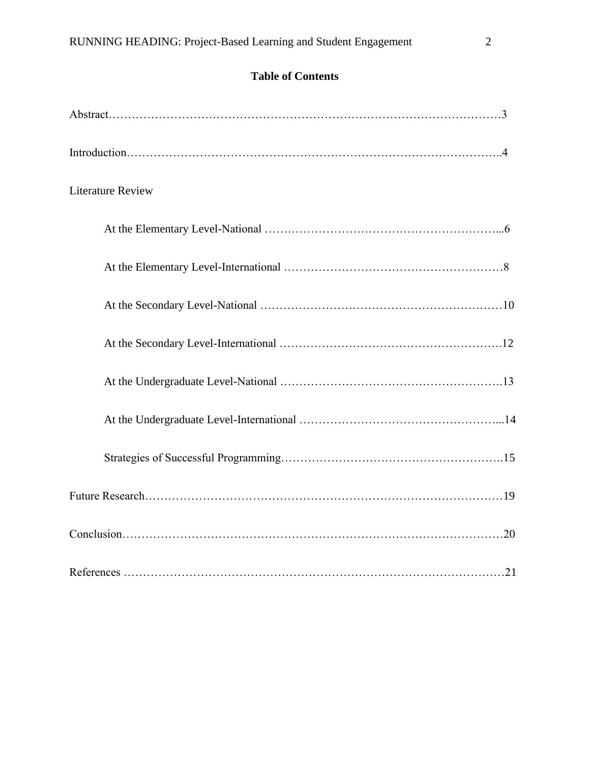| <b>Literature Review</b> |
|--------------------------|
|                          |
|                          |
|                          |
|                          |
|                          |
|                          |
|                          |
|                          |
|                          |
|                          |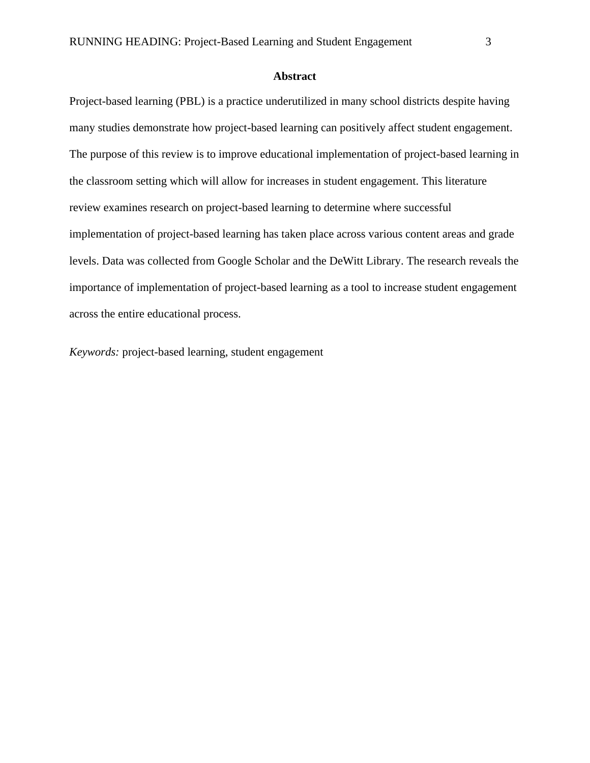## **Abstract**

Project-based learning (PBL) is a practice underutilized in many school districts despite having many studies demonstrate how project-based learning can positively affect student engagement. The purpose of this review is to improve educational implementation of project-based learning in the classroom setting which will allow for increases in student engagement. This literature review examines research on project-based learning to determine where successful implementation of project-based learning has taken place across various content areas and grade levels. Data was collected from Google Scholar and the DeWitt Library. The research reveals the importance of implementation of project-based learning as a tool to increase student engagement across the entire educational process.

*Keywords:* project-based learning, student engagement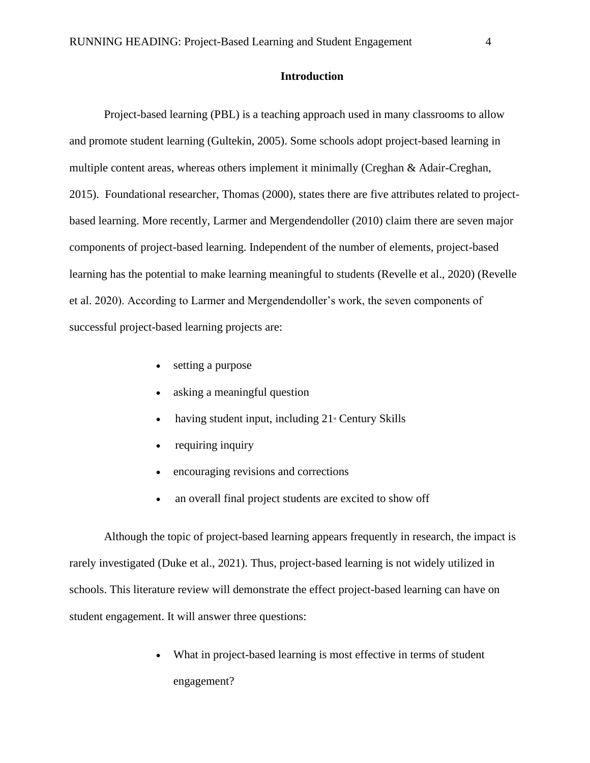## **Introduction**

 Project-based learning (PBL) is a teaching approach used in many classrooms to allow and promote student learning (Gultekin, 2005). Some schools adopt project-based learning in multiple content areas, whereas others implement it minimally (Creghan & Adair-Creghan, 2015). Foundational researcher, Thomas (2000), states there are five attributes related to projectbased learning. More recently, Larmer and Mergendendoller (2010) claim there are seven major components of project-based learning. Independent of the number of elements, project-based learning has the potential to make learning meaningful to students (Revelle et al., 2020) (Revelle et al. 2020). According to Larmer and Mergendendoller's work, the seven components of successful project-based learning projects are:

- setting a purpose
- asking a meaningful question
- having student input, including  $21$ <sup>st</sup> Century Skills
- requiring inquiry
- encouraging revisions and corrections
- an overall final project students are excited to show off

 Although the topic of project-based learning appears frequently in research, the impact is rarely investigated (Duke et al., 2021). Thus, project-based learning is not widely utilized in schools. This literature review will demonstrate the effect project-based learning can have on student engagement. It will answer three questions:

> What in project-based learning is most effective in terms of student engagement?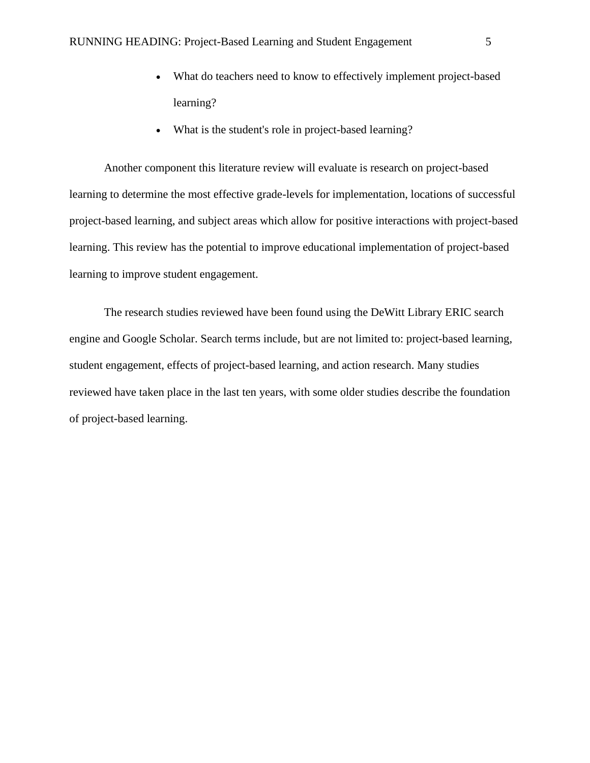- What do teachers need to know to effectively implement project-based learning?
- What is the student's role in project-based learning?

 Another component this literature review will evaluate is research on project-based learning to determine the most effective grade-levels for implementation, locations of successful project-based learning, and subject areas which allow for positive interactions with project-based learning. This review has the potential to improve educational implementation of project-based learning to improve student engagement.

 The research studies reviewed have been found using the DeWitt Library ERIC search engine and Google Scholar. Search terms include, but are not limited to: project-based learning, student engagement, effects of project-based learning, and action research. Many studies reviewed have taken place in the last ten years, with some older studies describe the foundation of project-based learning.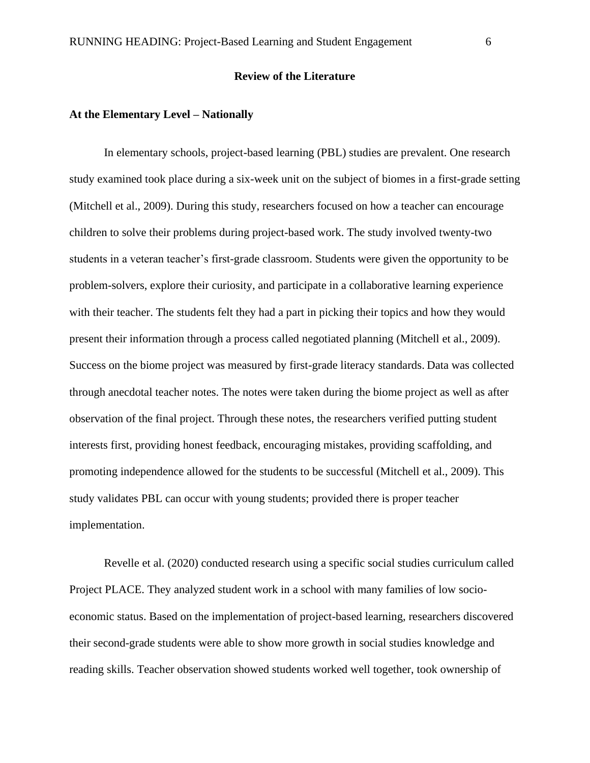#### **Review of the Literature**

#### **At the Elementary Level – Nationally**

 In elementary schools, project-based learning (PBL) studies are prevalent. One research study examined took place during a six-week unit on the subject of biomes in a first-grade setting (Mitchell et al., 2009). During this study, researchers focused on how a teacher can encourage children to solve their problems during project-based work. The study involved twenty-two students in a veteran teacher's first-grade classroom. Students were given the opportunity to be problem-solvers, explore their curiosity, and participate in a collaborative learning experience with their teacher. The students felt they had a part in picking their topics and how they would present their information through a process called negotiated planning (Mitchell et al., 2009). Success on the biome project was measured by first-grade literacy standards. Data was collected through anecdotal teacher notes. The notes were taken during the biome project as well as after observation of the final project. Through these notes, the researchers verified putting student interests first, providing honest feedback, encouraging mistakes, providing scaffolding, and promoting independence allowed for the students to be successful (Mitchell et al., 2009). This study validates PBL can occur with young students; provided there is proper teacher implementation.

 Revelle et al. (2020) conducted research using a specific social studies curriculum called Project PLACE. They analyzed student work in a school with many families of low socioeconomic status. Based on the implementation of project-based learning, researchers discovered their second-grade students were able to show more growth in social studies knowledge and reading skills. Teacher observation showed students worked well together, took ownership of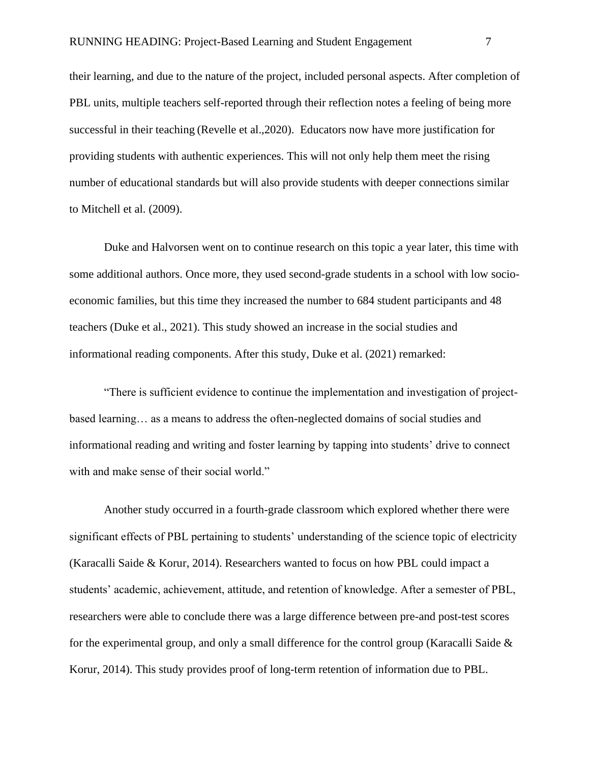their learning, and due to the nature of the project, included personal aspects. After completion of PBL units, multiple teachers self-reported through their reflection notes a feeling of being more successful in their teaching (Revelle et al.,2020). Educators now have more justification for providing students with authentic experiences. This will not only help them meet the rising number of educational standards but will also provide students with deeper connections similar to Mitchell et al. (2009).

 Duke and Halvorsen went on to continue research on this topic a year later, this time with some additional authors. Once more, they used second-grade students in a school with low socioeconomic families, but this time they increased the number to 684 student participants and 48 teachers (Duke et al., 2021). This study showed an increase in the social studies and informational reading components. After this study, Duke et al. (2021) remarked:

 "There is sufficient evidence to continue the implementation and investigation of projectbased learning… as a means to address the often-neglected domains of social studies and informational reading and writing and foster learning by tapping into students' drive to connect with and make sense of their social world."

 Another study occurred in a fourth-grade classroom which explored whether there were significant effects of PBL pertaining to students' understanding of the science topic of electricity (Karacalli Saide & Korur, 2014). Researchers wanted to focus on how PBL could impact a students' academic, achievement, attitude, and retention of knowledge. After a semester of PBL, researchers were able to conclude there was a large difference between pre-and post-test scores for the experimental group, and only a small difference for the control group (Karacalli Saide  $\&$ Korur, 2014). This study provides proof of long-term retention of information due to PBL.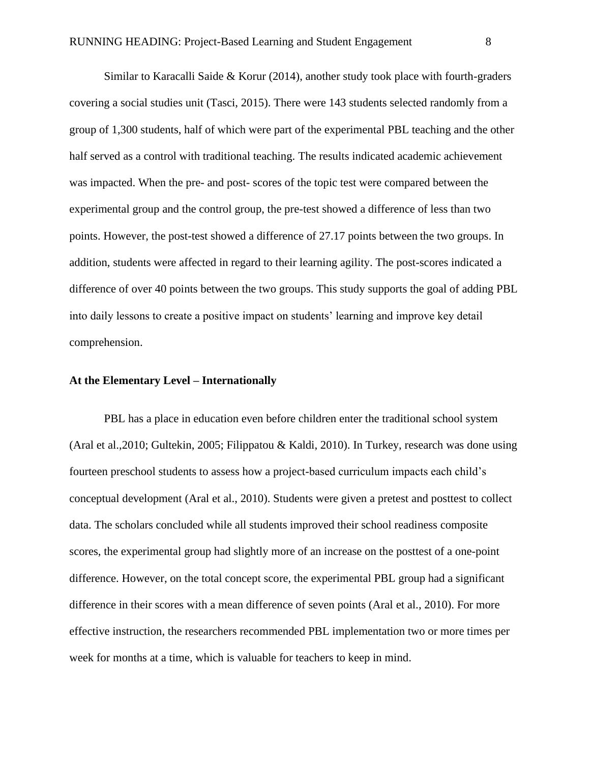Similar to Karacalli Saide & Korur  $(2014)$ , another study took place with fourth-graders covering a social studies unit (Tasci, 2015). There were 143 students selected randomly from a group of 1,300 students, half of which were part of the experimental PBL teaching and the other half served as a control with traditional teaching. The results indicated academic achievement was impacted. When the pre- and post- scores of the topic test were compared between the experimental group and the control group, the pre-test showed a difference of less than two points. However, the post-test showed a difference of 27.17 points between the two groups. In addition, students were affected in regard to their learning agility. The post-scores indicated a difference of over 40 points between the two groups. This study supports the goal of adding PBL into daily lessons to create a positive impact on students' learning and improve key detail comprehension.

#### **At the Elementary Level – Internationally**

PBL has a place in education even before children enter the traditional school system (Aral et al.,2010; Gultekin, 2005; Filippatou & Kaldi, 2010). In Turkey, research was done using fourteen preschool students to assess how a project-based curriculum impacts each child's conceptual development (Aral et al., 2010). Students were given a pretest and posttest to collect data. The scholars concluded while all students improved their school readiness composite scores, the experimental group had slightly more of an increase on the posttest of a one-point difference. However, on the total concept score, the experimental PBL group had a significant difference in their scores with a mean difference of seven points (Aral et al., 2010). For more effective instruction, the researchers recommended PBL implementation two or more times per week for months at a time, which is valuable for teachers to keep in mind.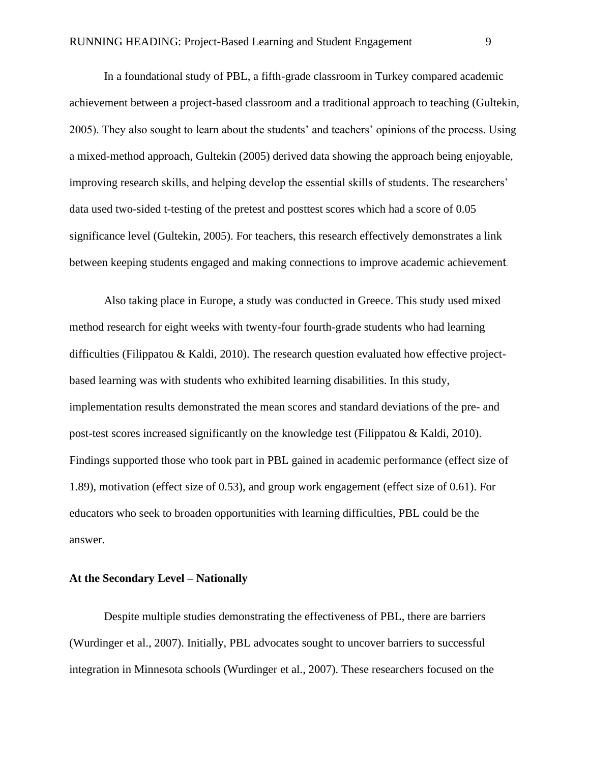In a foundational study of PBL, a fifth-grade classroom in Turkey compared academic achievement between a project-based classroom and a traditional approach to teaching (Gultekin, 2005). They also sought to learn about the students' and teachers' opinions of the process. Using a mixed-method approach, Gultekin (2005) derived data showing the approach being enjoyable, improving research skills, and helping develop the essential skills of students. The researchers' data used two-sided t-testing of the pretest and posttest scores which had a score of 0.05 significance level (Gultekin, 2005). For teachers, this research effectively demonstrates a link between keeping students engaged and making connections to improve academic achievement.

 Also taking place in Europe, a study was conducted in Greece. This study used mixed method research for eight weeks with twenty-four fourth-grade students who had learning difficulties (Filippatou & Kaldi, 2010). The research question evaluated how effective projectbased learning was with students who exhibited learning disabilities. In this study, implementation results demonstrated the mean scores and standard deviations of the pre- and post-test scores increased significantly on the knowledge test (Filippatou & Kaldi, 2010). Findings supported those who took part in PBL gained in academic performance (effect size of 1.89), motivation (effect size of 0.53), and group work engagement (effect size of 0.61). For educators who seek to broaden opportunities with learning difficulties, PBL could be the answer.

## **At the Secondary Level – Nationally**

Despite multiple studies demonstrating the effectiveness of PBL, there are barriers (Wurdinger et al., 2007). Initially, PBL advocates sought to uncover barriers to successful integration in Minnesota schools (Wurdinger et al., 2007). These researchers focused on the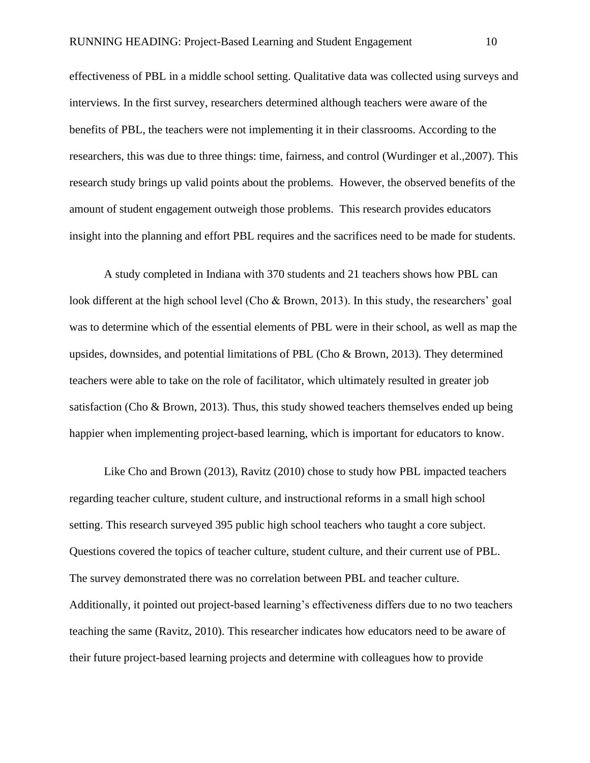effectiveness of PBL in a middle school setting. Qualitative data was collected using surveys and interviews. In the first survey, researchers determined although teachers were aware of the benefits of PBL, the teachers were not implementing it in their classrooms. According to the researchers, this was due to three things: time, fairness, and control (Wurdinger et al.,2007). This research study brings up valid points about the problems. However, the observed benefits of the amount of student engagement outweigh those problems. This research provides educators insight into the planning and effort PBL requires and the sacrifices need to be made for students.

 A study completed in Indiana with 370 students and 21 teachers shows how PBL can look different at the high school level (Cho & Brown, 2013). In this study, the researchers' goal was to determine which of the essential elements of PBL were in their school, as well as map the upsides, downsides, and potential limitations of PBL (Cho & Brown, 2013). They determined teachers were able to take on the role of facilitator, which ultimately resulted in greater job satisfaction (Cho & Brown, 2013). Thus, this study showed teachers themselves ended up being happier when implementing project-based learning, which is important for educators to know.

 Like Cho and Brown (2013), Ravitz (2010) chose to study how PBL impacted teachers regarding teacher culture, student culture, and instructional reforms in a small high school setting. This research surveyed 395 public high school teachers who taught a core subject. Questions covered the topics of teacher culture, student culture, and their current use of PBL. The survey demonstrated there was no correlation between PBL and teacher culture. Additionally, it pointed out project-based learning's effectiveness differs due to no two teachers teaching the same (Ravitz, 2010). This researcher indicates how educators need to be aware of their future project-based learning projects and determine with colleagues how to provide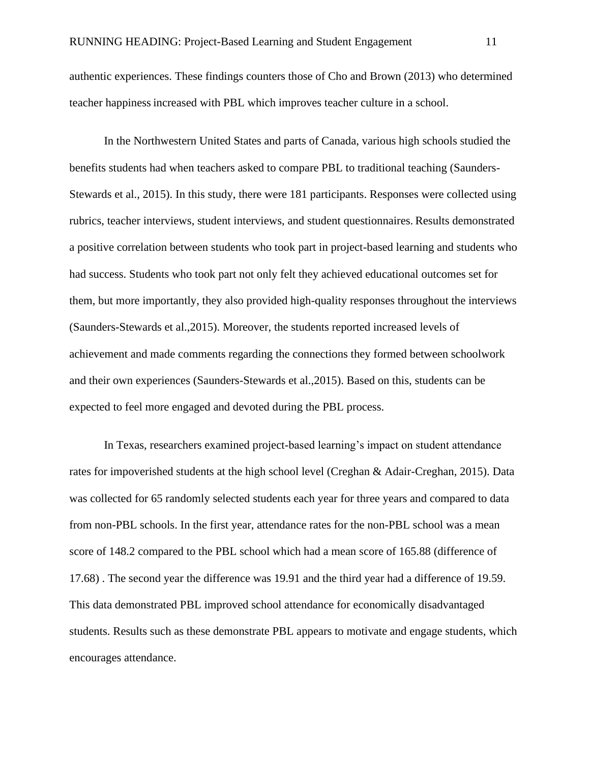authentic experiences. These findings counters those of Cho and Brown (2013) who determined teacher happinessincreased with PBL which improves teacher culture in a school.

 In the Northwestern United States and parts of Canada, various high schools studied the benefits students had when teachers asked to compare PBL to traditional teaching (Saunders-Stewards et al., 2015). In this study, there were 181 participants. Responses were collected using rubrics, teacher interviews, student interviews, and student questionnaires. Results demonstrated a positive correlation between students who took part in project-based learning and students who had success. Students who took part not only felt they achieved educational outcomes set for them, but more importantly, they also provided high-quality responses throughout the interviews (Saunders-Stewards et al.,2015). Moreover, the students reported increased levels of achievement and made comments regarding the connections they formed between schoolwork and their own experiences (Saunders-Stewards et al.,2015). Based on this, students can be expected to feel more engaged and devoted during the PBL process.

 In Texas, researchers examined project-based learning's impact on student attendance rates for impoverished students at the high school level (Creghan & Adair-Creghan, 2015). Data was collected for 65 randomly selected students each year for three years and compared to data from non-PBL schools. In the first year, attendance rates for the non-PBL school was a mean score of 148.2 compared to the PBL school which had a mean score of 165.88 (difference of 17.68) . The second year the difference was 19.91 and the third year had a difference of 19.59. This data demonstrated PBL improved school attendance for economically disadvantaged students. Results such as these demonstrate PBL appears to motivate and engage students, which encourages attendance.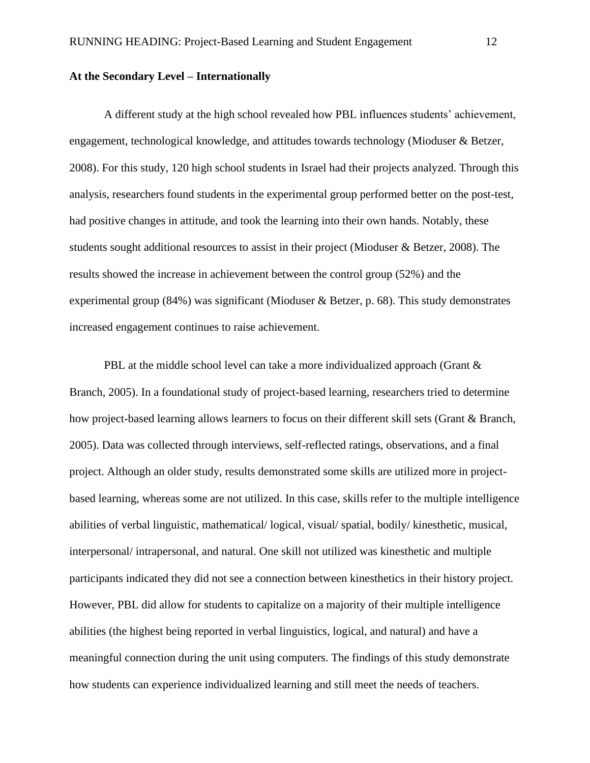## **At the Secondary Level – Internationally**

 A different study at the high school revealed how PBL influences students' achievement, engagement, technological knowledge, and attitudes towards technology (Mioduser & Betzer, 2008). For this study, 120 high school students in Israel had their projects analyzed. Through this analysis, researchers found students in the experimental group performed better on the post-test, had positive changes in attitude, and took the learning into their own hands. Notably, these students sought additional resources to assist in their project (Mioduser & Betzer, 2008). The results showed the increase in achievement between the control group (52%) and the experimental group (84%) was significant (Mioduser & Betzer, p. 68). This study demonstrates increased engagement continues to raise achievement.

PBL at the middle school level can take a more individualized approach (Grant & Branch, 2005). In a foundational study of project-based learning, researchers tried to determine how project-based learning allows learners to focus on their different skill sets (Grant & Branch, 2005). Data was collected through interviews, self-reflected ratings, observations, and a final project. Although an older study, results demonstrated some skills are utilized more in projectbased learning, whereas some are not utilized. In this case, skills refer to the multiple intelligence abilities of verbal linguistic, mathematical/ logical, visual/ spatial, bodily/ kinesthetic, musical, interpersonal/ intrapersonal, and natural. One skill not utilized was kinesthetic and multiple participants indicated they did not see a connection between kinesthetics in their history project. However, PBL did allow for students to capitalize on a majority of their multiple intelligence abilities (the highest being reported in verbal linguistics, logical, and natural) and have a meaningful connection during the unit using computers. The findings of this study demonstrate how students can experience individualized learning and still meet the needs of teachers.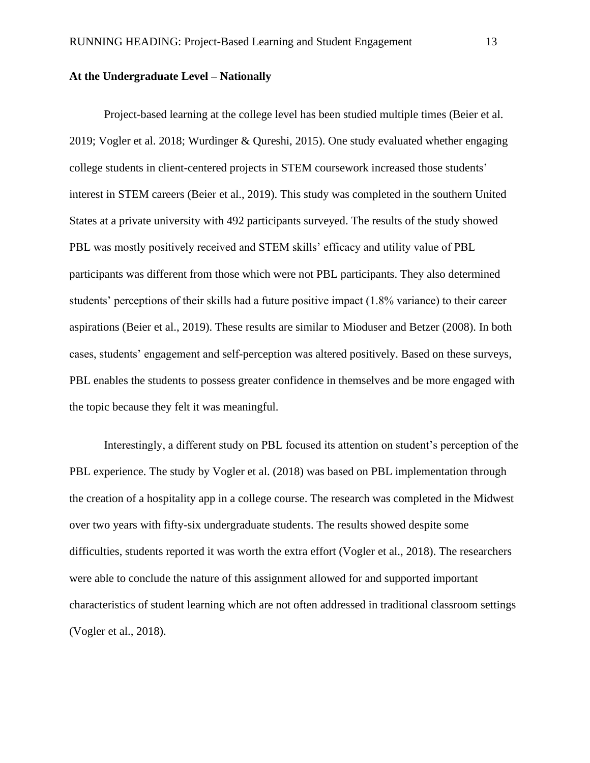### **At the Undergraduate Level – Nationally**

 Project-based learning at the college level has been studied multiple times (Beier et al. 2019; Vogler et al. 2018; Wurdinger & Qureshi, 2015). One study evaluated whether engaging college students in client-centered projects in STEM coursework increased those students' interest in STEM careers (Beier et al., 2019). This study was completed in the southern United States at a private university with 492 participants surveyed. The results of the study showed PBL was mostly positively received and STEM skills' efficacy and utility value of PBL participants was different from those which were not PBL participants. They also determined students' perceptions of their skills had a future positive impact (1.8% variance) to their career aspirations (Beier et al., 2019). These results are similar to Mioduser and Betzer (2008). In both cases, students' engagement and self-perception was altered positively. Based on these surveys, PBL enables the students to possess greater confidence in themselves and be more engaged with the topic because they felt it was meaningful.

 Interestingly, a different study on PBL focused its attention on student's perception of the PBL experience. The study by Vogler et al. (2018) was based on PBL implementation through the creation of a hospitality app in a college course. The research was completed in the Midwest over two years with fifty-six undergraduate students. The results showed despite some difficulties, students reported it was worth the extra effort (Vogler et al., 2018). The researchers were able to conclude the nature of this assignment allowed for and supported important characteristics of student learning which are not often addressed in traditional classroom settings (Vogler et al., 2018).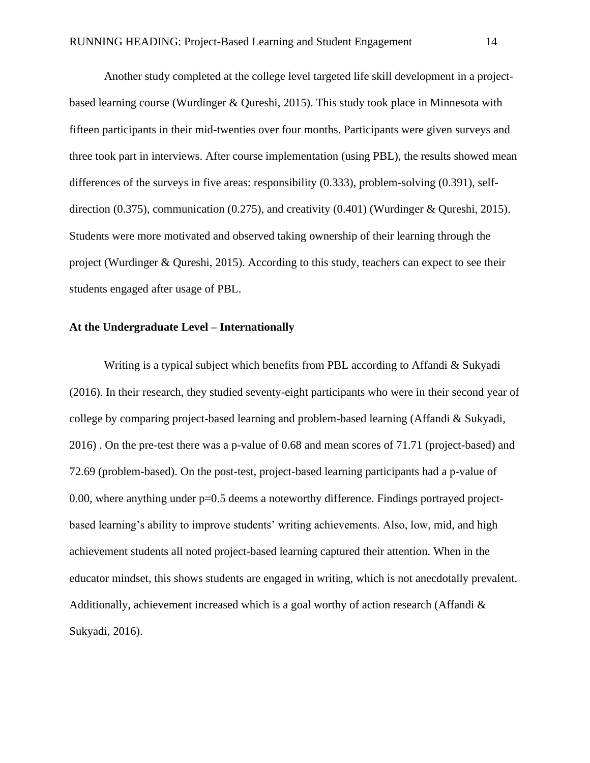Another study completed at the college level targeted life skill development in a projectbased learning course (Wurdinger & Qureshi, 2015). This study took place in Minnesota with fifteen participants in their mid-twenties over four months. Participants were given surveys and three took part in interviews. After course implementation (using PBL), the results showed mean differences of the surveys in five areas: responsibility (0.333), problem-solving (0.391), selfdirection (0.375), communication (0.275), and creativity (0.401) (Wurdinger & Qureshi, 2015). Students were more motivated and observed taking ownership of their learning through the project (Wurdinger & Qureshi, 2015). According to this study, teachers can expect to see their students engaged after usage of PBL.

#### **At the Undergraduate Level – Internationally**

 Writing is a typical subject which benefits from PBL according to Affandi & Sukyadi (2016). In their research, they studied seventy-eight participants who were in their second year of college by comparing project-based learning and problem-based learning (Affandi & Sukyadi, 2016) . On the pre-test there was a p-value of 0.68 and mean scores of 71.71 (project-based) and 72.69 (problem-based). On the post-test, project-based learning participants had a p-value of 0.00, where anything under  $p=0.5$  deems a noteworthy difference. Findings portrayed projectbased learning's ability to improve students' writing achievements. Also, low, mid, and high achievement students all noted project-based learning captured their attention. When in the educator mindset, this shows students are engaged in writing, which is not anecdotally prevalent. Additionally, achievement increased which is a goal worthy of action research (Affandi & Sukyadi, 2016).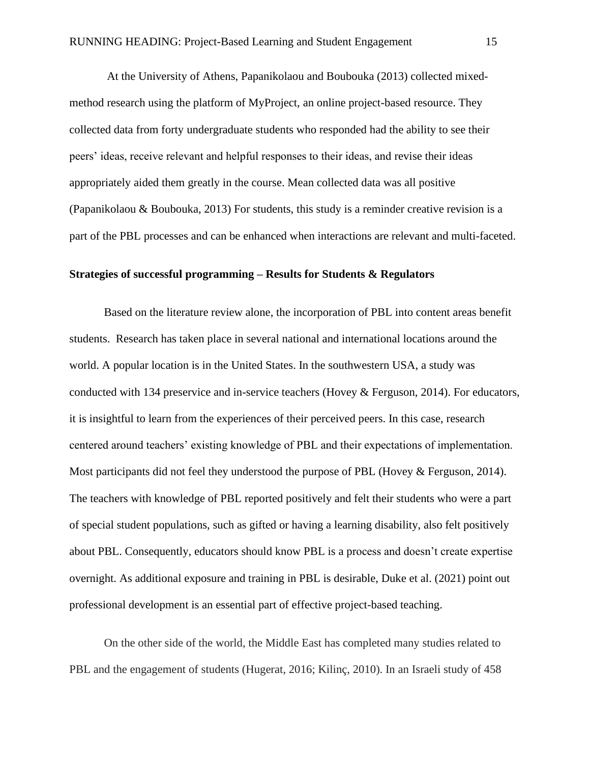At the University of Athens, Papanikolaou and Boubouka (2013) collected mixedmethod research using the platform of MyProject, an online project-based resource. They collected data from forty undergraduate students who responded had the ability to see their peers' ideas, receive relevant and helpful responses to their ideas, and revise their ideas appropriately aided them greatly in the course. Mean collected data was all positive (Papanikolaou & Boubouka, 2013) For students, this study is a reminder creative revision is a part of the PBL processes and can be enhanced when interactions are relevant and multi-faceted.

#### **Strategies of successful programming – Results for Students & Regulators**

 Based on the literature review alone, the incorporation of PBL into content areas benefit students. Research has taken place in several national and international locations around the world. A popular location is in the United States. In the southwestern USA, a study was conducted with 134 preservice and in-service teachers (Hovey & Ferguson, 2014). For educators, it is insightful to learn from the experiences of their perceived peers. In this case, research centered around teachers' existing knowledge of PBL and their expectations of implementation. Most participants did not feel they understood the purpose of PBL (Hovey & Ferguson, 2014). The teachers with knowledge of PBL reported positively and felt their students who were a part of special student populations, such as gifted or having a learning disability, also felt positively about PBL. Consequently, educators should know PBL is a process and doesn't create expertise overnight. As additional exposure and training in PBL is desirable, Duke et al. (2021) point out professional development is an essential part of effective project-based teaching.

On the other side of the world, the Middle East has completed many studies related to PBL and the engagement of students (Hugerat, 2016; Kilinç, 2010). In an Israeli study of 458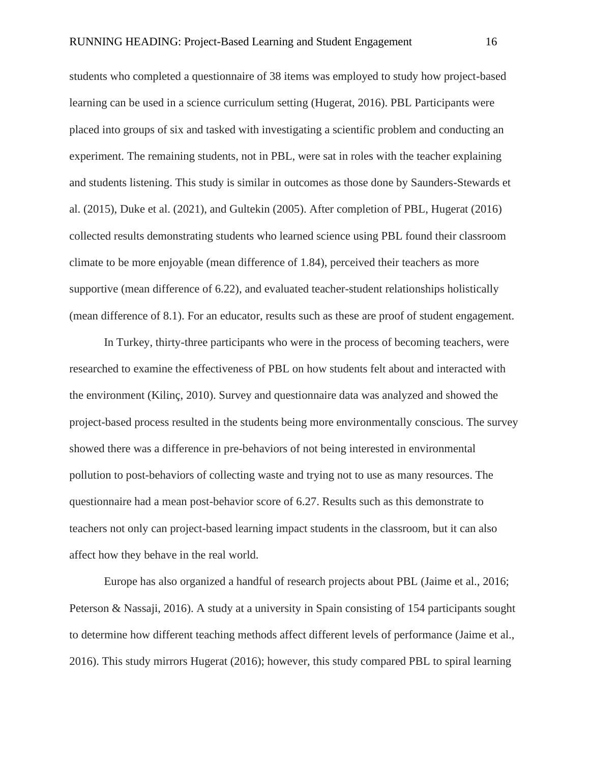students who completed a questionnaire of 38 items was employed to study how project-based learning can be used in a science curriculum setting (Hugerat, 2016). PBL Participants were placed into groups of six and tasked with investigating a scientific problem and conducting an experiment. The remaining students, not in PBL, were sat in roles with the teacher explaining and students listening. This study is similar in outcomes as those done by Saunders-Stewards et al. (2015), Duke et al. (2021), and Gultekin (2005). After completion of PBL, Hugerat (2016) collected results demonstrating students who learned science using PBL found their classroom climate to be more enjoyable (mean difference of 1.84), perceived their teachers as more supportive (mean difference of 6.22), and evaluated teacher-student relationships holistically (mean difference of 8.1). For an educator, results such as these are proof of student engagement.

 In Turkey, thirty-three participants who were in the process of becoming teachers, were researched to examine the effectiveness of PBL on how students felt about and interacted with the environment (Kilinç, 2010). Survey and questionnaire data was analyzed and showed the project-based process resulted in the students being more environmentally conscious. The survey showed there was a difference in pre-behaviors of not being interested in environmental pollution to post-behaviors of collecting waste and trying not to use as many resources. The questionnaire had a mean post-behavior score of 6.27. Results such as this demonstrate to teachers not only can project-based learning impact students in the classroom, but it can also affect how they behave in the real world.

 Europe has also organized a handful of research projects about PBL (Jaime et al., 2016; Peterson & Nassaji, 2016). A study at a university in Spain consisting of 154 participants sought to determine how different teaching methods affect different levels of performance (Jaime et al., 2016). This study mirrors Hugerat (2016); however, this study compared PBL to spiral learning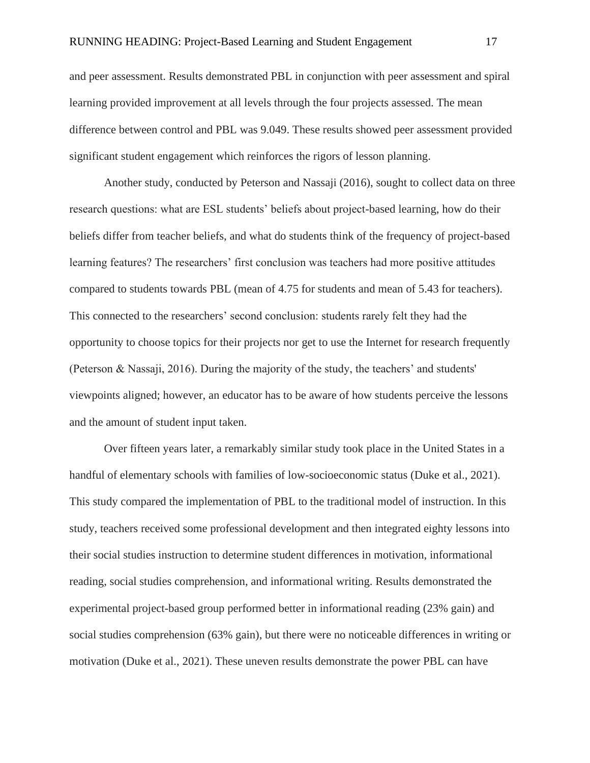#### RUNNING HEADING: Project-Based Learning and Student Engagement 17

and peer assessment. Results demonstrated PBL in conjunction with peer assessment and spiral learning provided improvement at all levels through the four projects assessed. The mean difference between control and PBL was 9.049. These results showed peer assessment provided significant student engagement which reinforces the rigors of lesson planning.

 Another study, conducted by Peterson and Nassaji (2016), sought to collect data on three research questions: what are ESL students' beliefs about project-based learning, how do their beliefs differ from teacher beliefs, and what do students think of the frequency of project-based learning features? The researchers' first conclusion was teachers had more positive attitudes compared to students towards PBL (mean of 4.75 for students and mean of 5.43 for teachers). This connected to the researchers' second conclusion: students rarely felt they had the opportunity to choose topics for their projects nor get to use the Internet for research frequently (Peterson & Nassaji, 2016). During the majority of the study, the teachers' and students' viewpoints aligned; however, an educator has to be aware of how students perceive the lessons and the amount of student input taken.

 Over fifteen years later, a remarkably similar study took place in the United States in a handful of elementary schools with families of low-socioeconomic status (Duke et al., 2021). This study compared the implementation of PBL to the traditional model of instruction. In this study, teachers received some professional development and then integrated eighty lessons into their social studies instruction to determine student differences in motivation, informational reading, social studies comprehension, and informational writing. Results demonstrated the experimental project-based group performed better in informational reading (23% gain) and social studies comprehension (63% gain), but there were no noticeable differences in writing or motivation (Duke et al., 2021). These uneven results demonstrate the power PBL can have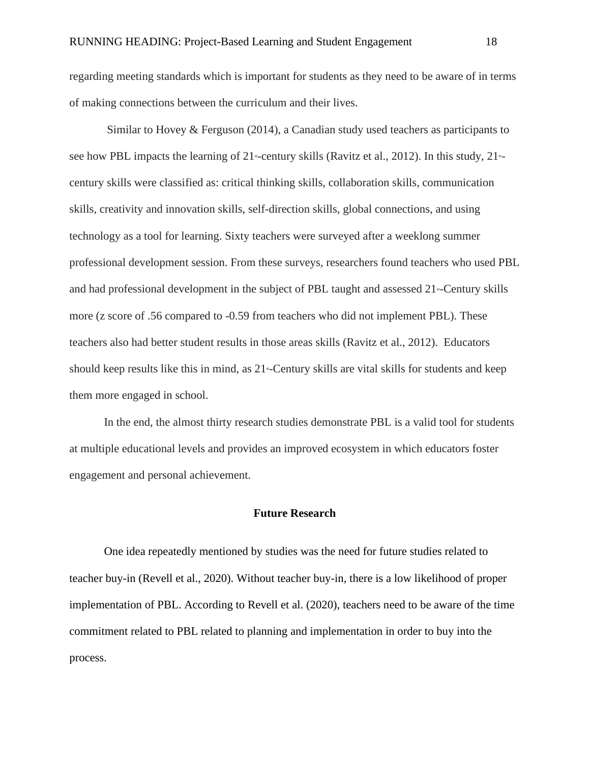regarding meeting standards which is important for students as they need to be aware of in terms of making connections between the curriculum and their lives.

 Similar to Hovey & Ferguson (2014), a Canadian study used teachers as participants to see how PBL impacts the learning of  $21$  -century skills (Ravitz et al., 2012). In this study,  $21$  century skills were classified as: critical thinking skills, collaboration skills, communication skills, creativity and innovation skills, self-direction skills, global connections, and using technology as a tool for learning. Sixty teachers were surveyed after a weeklong summer professional development session. From these surveys, researchers found teachers who used PBL and had professional development in the subject of PBL taught and assessed  $21$ <sup>s-</sup>Century skills more (z score of .56 compared to -0.59 from teachers who did not implement PBL). These teachers also had better student results in those areas skills (Ravitz et al., 2012). Educators should keep results like this in mind, as  $21$  -Century skills are vital skills for students and keep them more engaged in school.

 In the end, the almost thirty research studies demonstrate PBL is a valid tool for students at multiple educational levels and provides an improved ecosystem in which educators foster engagement and personal achievement.

#### **Future Research**

 One idea repeatedly mentioned by studies was the need for future studies related to teacher buy-in (Revell et al., 2020). Without teacher buy-in, there is a low likelihood of proper implementation of PBL. According to Revell et al. (2020), teachers need to be aware of the time commitment related to PBL related to planning and implementation in order to buy into the process.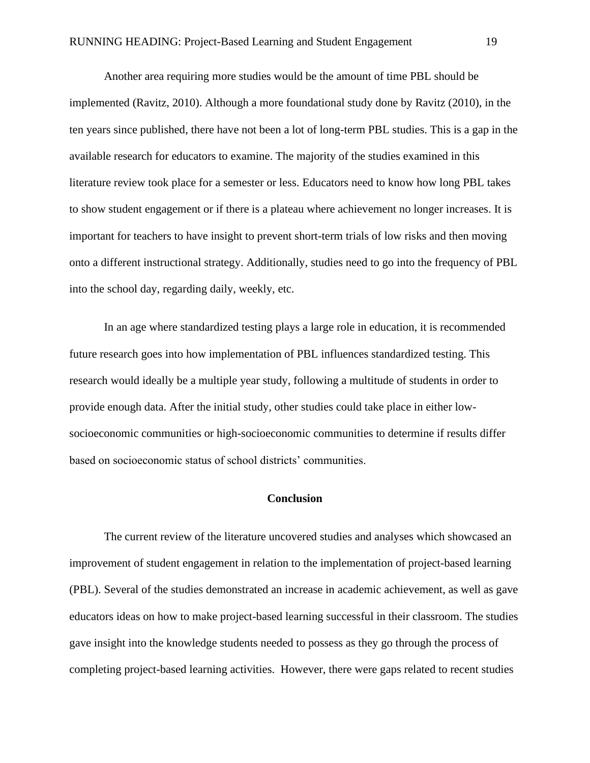Another area requiring more studies would be the amount of time PBL should be implemented (Ravitz, 2010). Although a more foundational study done by Ravitz (2010), in the ten years since published, there have not been a lot of long-term PBL studies. This is a gap in the available research for educators to examine. The majority of the studies examined in this literature review took place for a semester or less. Educators need to know how long PBL takes to show student engagement or if there is a plateau where achievement no longer increases. It is important for teachers to have insight to prevent short-term trials of low risks and then moving onto a different instructional strategy. Additionally, studies need to go into the frequency of PBL into the school day, regarding daily, weekly, etc.

 In an age where standardized testing plays a large role in education, it is recommended future research goes into how implementation of PBL influences standardized testing. This research would ideally be a multiple year study, following a multitude of students in order to provide enough data. After the initial study, other studies could take place in either lowsocioeconomic communities or high-socioeconomic communities to determine if results differ based on socioeconomic status of school districts' communities.

## **Conclusion**

 The current review of the literature uncovered studies and analyses which showcased an improvement of student engagement in relation to the implementation of project-based learning (PBL). Several of the studies demonstrated an increase in academic achievement, as well as gave educators ideas on how to make project-based learning successful in their classroom. The studies gave insight into the knowledge students needed to possess as they go through the process of completing project-based learning activities. However, there were gaps related to recent studies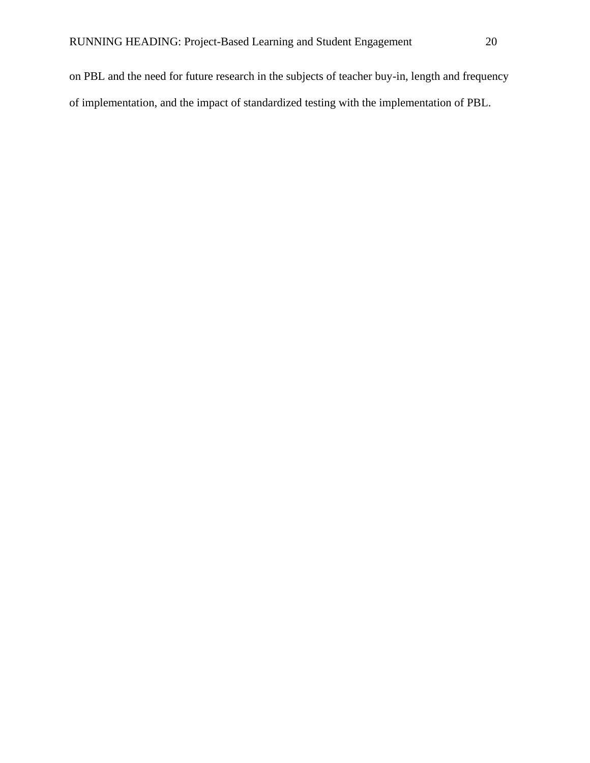on PBL and the need for future research in the subjects of teacher buy-in, length and frequency of implementation, and the impact of standardized testing with the implementation of PBL.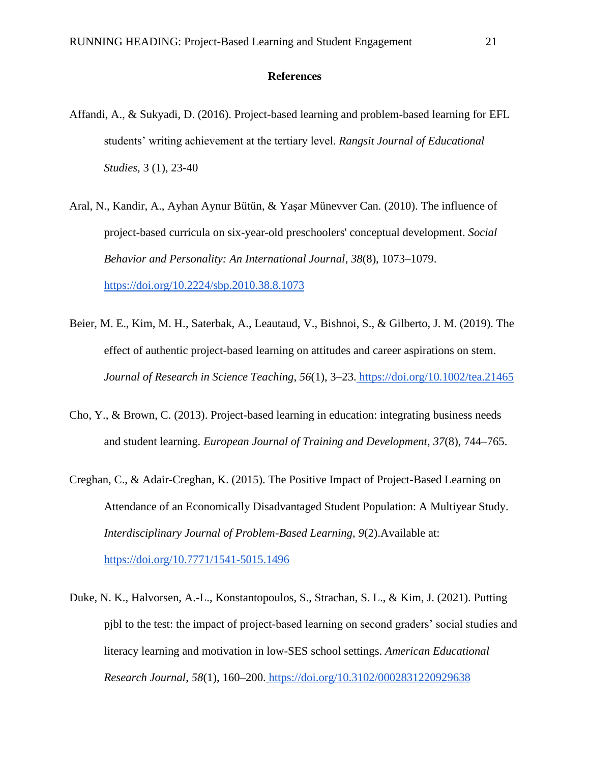## **References**

- Affandi, A., & Sukyadi, D. (2016). Project-based learning and problem-based learning for EFL students' writing achievement at the tertiary level. *Rangsit Journal of Educational Studies,* 3 (1), 23-40
- Aral, N., Kandir, A., Ayhan Aynur Bütün, & Yaşar Münevver Can. (2010). The influence of project-based curricula on six-year-old preschoolers' conceptual development. *Social Behavior and Personality: An International Journal*, *38*(8), 1073–1079[.](https://doi.org/10.2224/sbp.2010.38.8.1073) <https://doi.org/10.2224/sbp.2010.38.8.1073>
- Beier, M. E., Kim, M. H., Saterbak, A., Leautaud, V., Bishnoi, S., & Gilberto, J. M. (2019). The effect of authentic project-based learning on attitudes and career aspirations on stem. *Journal of Research in Science Teaching*, *56*(1), 3–23. <https://doi.org/10.1002/tea.21465>
- Cho, Y., & Brown, C. (2013). Project-based learning in education: integrating business needs and student learning. *European Journal of Training and Development*, *37*(8), 744–765.
- Creghan, C., & Adair-Creghan, K. (2015). The Positive Impact of Project-Based Learning on Attendance of an Economically Disadvantaged Student Population: A Multiyear Study. *Interdisciplinary Journal of Problem-Based Learning, 9*(2).Available at[:](https://doi.org/10.7771/1541-5015.1496) <https://doi.org/10.7771/1541-5015.1496>
- Duke, N. K., Halvorsen, A.-L., Konstantopoulos, S., Strachan, S. L., & Kim, J. (2021). Putting pjbl to the test: the impact of project-based learning on second graders' social studies and literacy learning and motivation in low-SES school settings. *American Educational Research Journal*, *58*(1), 160–200. <https://doi.org/10.3102/0002831220929638>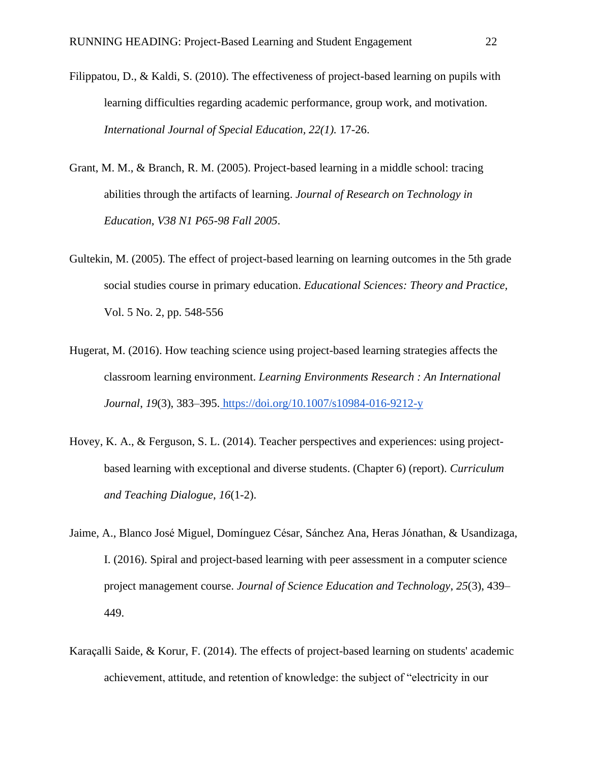- Filippatou, D., & Kaldi, S. (2010). The effectiveness of project-based learning on pupils with learning difficulties regarding academic performance, group work, and motivation. *International Journal of Special Education, 22(1).* 17-26.
- Grant, M. M., & Branch, R. M. (2005). Project-based learning in a middle school: tracing abilities through the artifacts of learning. *Journal of Research on Technology in Education*, *V38 N1 P65-98 Fall 2005*.
- Gultekin, M. (2005). The effect of project-based learning on learning outcomes in the 5th grade social studies course in primary education. *Educational Sciences: Theory and Practice,*  Vol. 5 No. 2, pp. 548-556
- Hugerat, M. (2016). How teaching science using project-based learning strategies affects the classroom learning environment. *Learning Environments Research : An International Journal*, *19*(3), 383–395. <https://doi.org/10.1007/s10984-016-9212-y>
- Hovey, K. A., & Ferguson, S. L. (2014). Teacher perspectives and experiences: using projectbased learning with exceptional and diverse students. (Chapter 6) (report). *Curriculum and Teaching Dialogue*, *16*(1-2).
- Jaime, A., Blanco José Miguel, Domínguez César, Sánchez Ana, Heras Jónathan, & Usandizaga, I. (2016). Spiral and project-based learning with peer assessment in a computer science project management course. *Journal of Science Education and Technology*, *25*(3), 439– 449.
- Karaçalli Saide, & Korur, F. (2014). The effects of project-based learning on students' academic achievement, attitude, and retention of knowledge: the subject of "electricity in our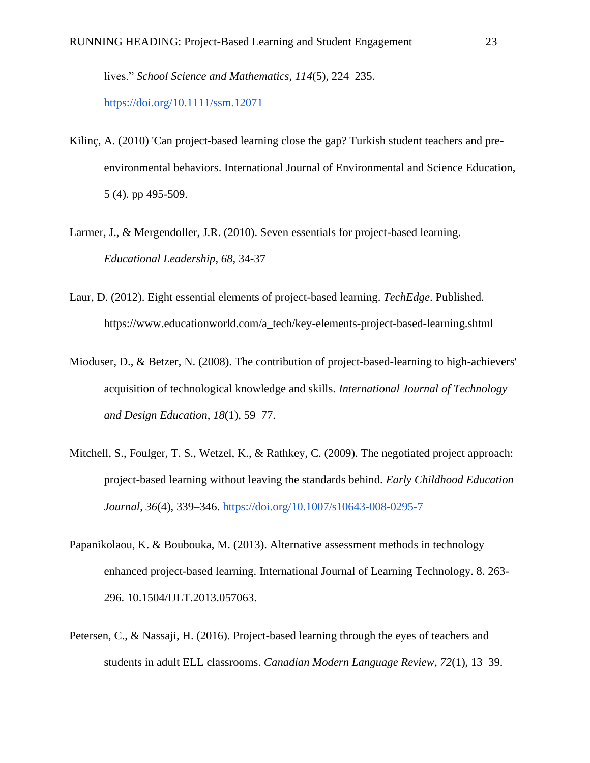lives." *School Science and Mathematics*, *114*(5), 224–235[.](https://doi.org/10.1111/ssm.12071)

<https://doi.org/10.1111/ssm.12071>

- Kilinç, A. (2010) 'Can project-based learning close the gap? Turkish student teachers and preenvironmental behaviors. International Journal of Environmental and Science Education, 5 (4). pp 495-509.
- Larmer, J., & Mergendoller, J.R. (2010). Seven essentials for project-based learning. *Educational Leadership, 68,* 34-37
- Laur, D. (2012). Eight essential elements of project-based learning. *TechEdge*. Published. https://www.educationworld.com/a\_tech/key-elements-project-based-learning.shtml
- Mioduser, D., & Betzer, N. (2008). The contribution of project-based-learning to high-achievers' acquisition of technological knowledge and skills. *International Journal of Technology and Design Education*, *18*(1), 59–77.
- Mitchell, S., Foulger, T. S., Wetzel, K., & Rathkey, C. (2009). The negotiated project approach: project-based learning without leaving the standards behind. *Early Childhood Education Journal*, *36*(4), 339–346. <https://doi.org/10.1007/s10643-008-0295-7>
- Papanikolaou, K. & Boubouka, M. (2013). Alternative assessment methods in technology enhanced project-based learning. International Journal of Learning Technology. 8. 263- 296. 10.1504/IJLT.2013.057063.
- Petersen, C., & Nassaji, H. (2016). Project-based learning through the eyes of teachers and students in adult ELL classrooms. *Canadian Modern Language Review*, *72*(1), 13–39.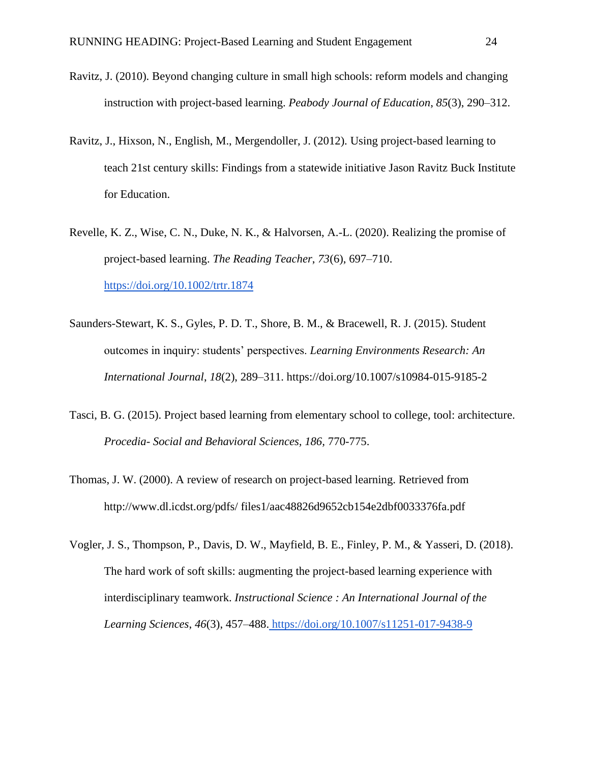- Ravitz, J. (2010). Beyond changing culture in small high schools: reform models and changing instruction with project-based learning. *Peabody Journal of Education*, *85*(3), 290–312.
- Ravitz, J., Hixson, N., English, M., Mergendoller, J. (2012). Using project-based learning to teach 21st century skills: Findings from a statewide initiative Jason Ravitz Buck Institute for Education.
- Revelle, K. Z., Wise, C. N., Duke, N. K., & Halvorsen, A.-L. (2020). Realizing the promise of project-based learning. *The Reading Teacher*, *73*(6), 697–710[.](https://doi.org/10.1002/trtr.1874) <https://doi.org/10.1002/trtr.1874>
- Saunders-Stewart, K. S., Gyles, P. D. T., Shore, B. M., & Bracewell, R. J. (2015). Student outcomes in inquiry: students' perspectives. *Learning Environments Research: An International Journal*, *18*(2), 289–311. https://doi.org/10.1007/s10984-015-9185-2
- Tasci, B. G. (2015). Project based learning from elementary school to college, tool: architecture. *Procedia- Social and Behavioral Sciences, 186,* 770-775.
- Thomas, J. W. (2000). A review of research on project-based learning. Retrieved from http://www.dl.icdst.org/pdfs/ files1/aac48826d9652cb154e2dbf0033376fa.pdf
- Vogler, J. S., Thompson, P., Davis, D. W., Mayfield, B. E., Finley, P. M., & Yasseri, D. (2018). The hard work of soft skills: augmenting the project-based learning experience with interdisciplinary teamwork. *Instructional Science : An International Journal of the Learning Sciences*, *46*(3), 457–488. <https://doi.org/10.1007/s11251-017-9438-9>